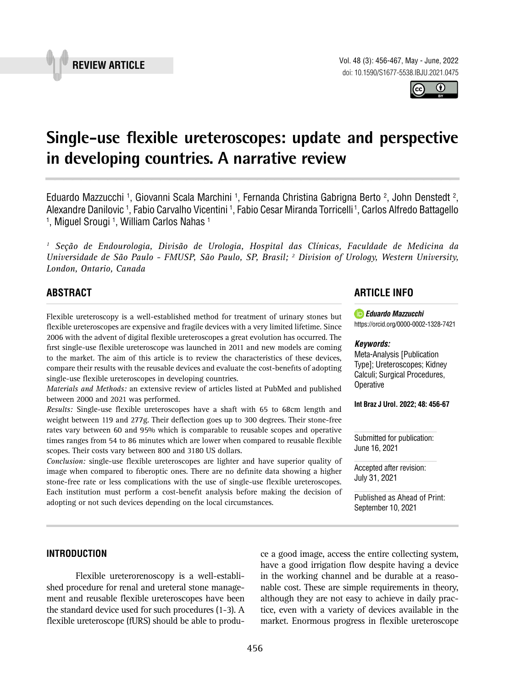



# **Single-use flexible ureteroscopes: update and perspective in developing countries. A narrative review \_\_\_\_\_\_\_\_\_\_\_\_\_\_\_\_\_\_\_\_\_\_\_\_\_\_\_\_\_\_\_\_\_\_\_\_\_\_\_\_\_\_\_\_\_\_\_**

Eduardo Mazzucchi <sup>1</sup>, Giovanni Scala Marchini <sup>1</sup>, Fernanda Christina Gabrigna Berto <sup>2</sup>, John Denstedt <sup>2</sup>, Alexandre Danilovic 1, Fabio Carvalho Vicentini 1, Fabio Cesar Miranda Torricelli 1, Carlos Alfredo Battagello <sup>1</sup>, Miguel Srougi <sup>1</sup>, William Carlos Nahas <sup>1</sup>

*1 Seção de Endourologia, Divisão de Urologia, Hospital das Clínicas, Faculdade de Medicina da Universidade de São Paulo - FMUSP, São Paulo, SP, Brasil; 2 Division of Urology, Western University, London, Ontario, Canada*

## **ABSTRACT**

Flexible ureteroscopy is a well-established method for treatment of urinary stones but flexible ureteroscopes are expensive and fragile devices with a very limited lifetime. Since 2006 with the advent of digital flexible ureteroscopes a great evolution has occurred. The first single-use flexible ureteroscope was launched in 2011 and new models are coming to the market. The aim of this article is to review the characteristics of these devices, compare their results with the reusable devices and evaluate the cost-benefits of adopting single-use flexible ureteroscopes in developing countries.

*Materials and Methods:* an extensive review of articles listed at PubMed and published between 2000 and 2021 was performed.

*Results:* Single-use flexible ureteroscopes have a shaft with 65 to 68cm length and weight between 119 and 277g. Their deflection goes up to 300 degrees. Their stone-free rates vary between 60 and 95% which is comparable to reusable scopes and operative times ranges from 54 to 86 minutes which are lower when compared to reusable flexible scopes. Their costs vary between 800 and 3180 US dollars.

*Conclusion:* single-use flexible ureteroscopes are lighter and have superior quality of image when compared to fiberoptic ones. There are no definite data showing a higher stone-free rate or less complications with the use of single-use flexible ureteroscopes. Each institution must perform a cost-benefit analysis before making the decision of adopting or not such devices depending on the local circumstances.

# **ARTICLE INFO**

*Eduardo Mazzucchi* [https://orcid.org/](https://orcid.org/0000-0002-9678-8247)0000-0002-1328-7421

#### *Keywords:*

Meta-Analysis [Publication Type]; Ureteroscopes; Kidney Calculi; Surgical Procedures, **Operative** 

**Int Braz J Urol. 2022; 48: 456-67**

Submitted for publication: June 16, 2021

Accepted after revision: July 31, 2021

Published as Ahead of Print: September 10, 2021

### **INTRODUCTION**

Flexible ureterorenoscopy is a well-established procedure for renal and ureteral stone management and reusable flexible ureteroscopes have been the standard device used for such procedures (1-3). A flexible ureteroscope (fURS) should be able to produce a good image, access the entire collecting system, have a good irrigation flow despite having a device in the working channel and be durable at a reasonable cost. These are simple requirements in theory, although they are not easy to achieve in daily practice, even with a variety of devices available in the market. Enormous progress in flexible ureteroscope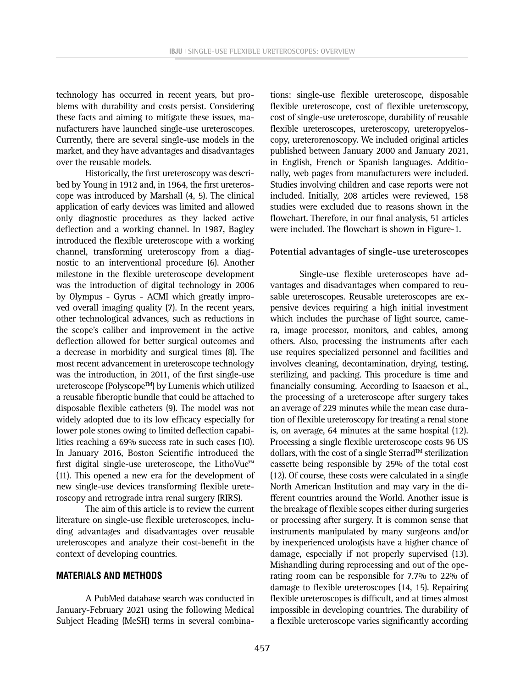technology has occurred in recent years, but problems with durability and costs persist. Considering these facts and aiming to mitigate these issues, manufacturers have launched single-use ureteroscopes. Currently, there are several single-use models in the market, and they have advantages and disadvantages over the reusable models.

Historically, the first ureteroscopy was described by Young in 1912 and, in 1964, the first ureteroscope was introduced by Marshall (4, 5). The clinical application of early devices was limited and allowed only diagnostic procedures as they lacked active deflection and a working channel. In 1987, Bagley introduced the flexible ureteroscope with a working channel, transforming ureteroscopy from a diagnostic to an interventional procedure (6). Another milestone in the flexible ureteroscope development was the introduction of digital technology in 2006 by Olympus - Gyrus - ACMI which greatly improved overall imaging quality (7). In the recent years, other technological advances, such as reductions in the scope's caliber and improvement in the active deflection allowed for better surgical outcomes and a decrease in morbidity and surgical times (8). The most recent advancement in ureteroscope technology was the introduction, in 2011, of the first single-use ureteroscope (PolyscopeTM) by Lumenis which utilized a reusable fiberoptic bundle that could be attached to disposable flexible catheters (9). The model was not widely adopted due to its low efficacy especially for lower pole stones owing to limited deflection capabilities reaching a 69% success rate in such cases (10). In January 2016, Boston Scientific introduced the first digital single-use ureteroscope, the LithoVue™ (11). This opened a new era for the development of new single-use devices transforming flexible ureteroscopy and retrograde intra renal surgery (RIRS).

The aim of this article is to review the current literature on single-use flexible ureteroscopes, including advantages and disadvantages over reusable ureteroscopes and analyze their cost-benefit in the context of developing countries.

#### **MATERIALS AND METHODS**

A PubMed database search was conducted in January-February 2021 using the following Medical Subject Heading (MeSH) terms in several combina-

tions: single-use flexible ureteroscope, disposable flexible ureteroscope, cost of flexible ureteroscopy, cost of single-use ureteroscope, durability of reusable flexible ureteroscopes, ureteroscopy, ureteropyeloscopy, ureterorenoscopy. We included original articles published between January 2000 and January 2021, in English, French or Spanish languages. Additionally, web pages from manufacturers were included. Studies involving children and case reports were not included. Initially, 208 articles were reviewed, 158 studies were excluded due to reasons shown in the flowchart. Therefore, in our final analysis, 51 articles were included. The flowchart is shown in Figure-1.

#### **Potential advantages of single-use ureteroscopes**

Single-use flexible ureteroscopes have advantages and disadvantages when compared to reusable ureteroscopes. Reusable ureteroscopes are expensive devices requiring a high initial investment which includes the purchase of light source, camera, image processor, monitors, and cables, among others. Also, processing the instruments after each use requires specialized personnel and facilities and involves cleaning, decontamination, drying, testing, sterilizing, and packing. This procedure is time and financially consuming. According to Isaacson et al., the processing of a ureteroscope after surgery takes an average of 229 minutes while the mean case duration of flexible ureteroscopy for treating a renal stone is, on average, 64 minutes at the same hospital (12). Processing a single flexible ureteroscope costs 96 US dollars, with the cost of a single Sterrad<sup>TM</sup> sterilization cassette being responsible by 25% of the total cost (12). Of course, these costs were calculated in a single North American Institution and may vary in the different countries around the World. Another issue is the breakage of flexible scopes either during surgeries or processing after surgery. It is common sense that instruments manipulated by many surgeons and/or by inexperienced urologists have a higher chance of damage, especially if not properly supervised (13). Mishandling during reprocessing and out of the operating room can be responsible for 7.7% to 22% of damage to flexible ureteroscopes (14, 15). Repairing flexible ureteroscopes is difficult, and at times almost impossible in developing countries. The durability of a flexible ureteroscope varies significantly according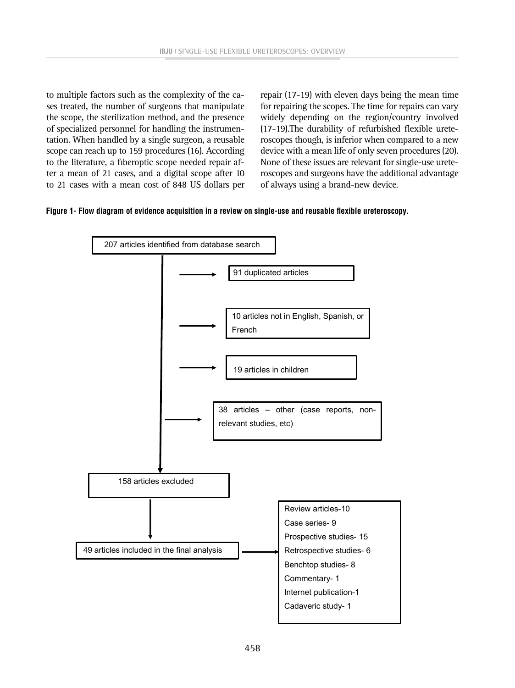to multiple factors such as the complexity of the cases treated, the number of surgeons that manipulate the scope, the sterilization method, and the presence of specialized personnel for handling the instrumentation. When handled by a single surgeon, a reusable scope can reach up to 159 procedures (16). According to the literature, a fiberoptic scope needed repair after a mean of 21 cases, and a digital scope after 10 to 21 cases with a mean cost of 848 US dollars per

repair (17-19) with eleven days being the mean time for repairing the scopes. The time for repairs can vary widely depending on the region/country involved (17-19).The durability of refurbished flexible ureteroscopes though, is inferior when compared to a new device with a mean life of only seven procedures (20). None of these issues are relevant for single-use ureteroscopes and surgeons have the additional advantage of always using a brand-new device.



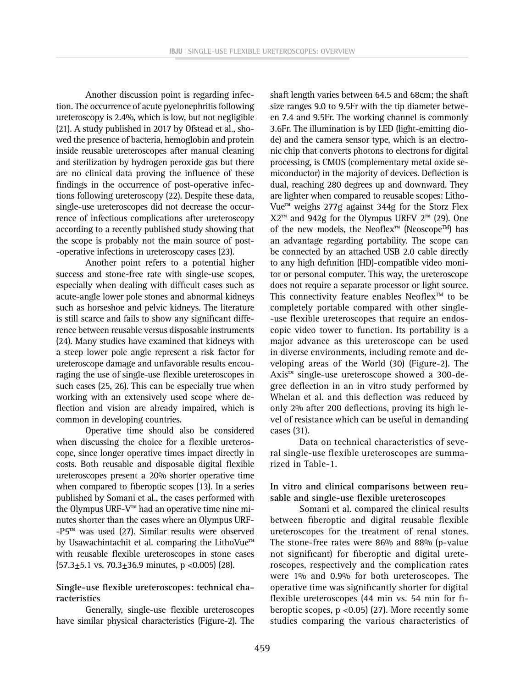Another discussion point is regarding infection. The occurrence of acute pyelonephritis following ureteroscopy is 2.4%, which is low, but not negligible (21). A study published in 2017 by Ofstead et al., showed the presence of bacteria, hemoglobin and protein inside reusable ureteroscopes after manual cleaning and sterilization by hydrogen peroxide gas but there are no clinical data proving the influence of these findings in the occurrence of post-operative infections following ureteroscopy (22). Despite these data, single-use ureteroscopes did not decrease the occurrence of infectious complications after ureteroscopy according to a recently published study showing that the scope is probably not the main source of post- -operative infections in ureteroscopy cases (23).

Another point refers to a potential higher success and stone-free rate with single-use scopes, especially when dealing with difficult cases such as acute-angle lower pole stones and abnormal kidneys such as horseshoe and pelvic kidneys. The literature is still scarce and fails to show any significant difference between reusable versus disposable instruments (24). Many studies have examined that kidneys with a steep lower pole angle represent a risk factor for ureteroscope damage and unfavorable results encouraging the use of single-use flexible ureteroscopes in such cases (25, 26). This can be especially true when working with an extensively used scope where deflection and vision are already impaired, which is common in developing countries.

Operative time should also be considered when discussing the choice for a flexible ureteroscope, since longer operative times impact directly in costs. Both reusable and disposable digital flexible ureteroscopes present a 20% shorter operative time when compared to fiberoptic scopes (13). In a series published by Somani et al., the cases performed with the Olympus URF-V™ had an operative time nine minutes shorter than the cases where an Olympus URF- -P5™ was used (27). Similar results were observed by Usawachintachit et al. comparing the LithoVue™ with reusable flexible ureteroscopes in stone cases  $(57.3 \pm 5.1 \text{ vs. } 70.3 \pm 36.9 \text{ minutes}, p < 0.005)$  (28).

### **Single-use flexible ureteroscopes: technical characteristics**

Generally, single-use flexible ureteroscopes have similar physical characteristics (Figure-2). The shaft length varies between 64.5 and 68cm; the shaft size ranges 9.0 to 9.5Fr with the tip diameter between 7.4 and 9.5Fr. The working channel is commonly 3.6Fr. The illumination is by LED (light-emitting diode) and the camera sensor type, which is an electronic chip that converts photons to electrons for digital processing, is CMOS (complementary metal oxide semiconductor) in the majority of devices. Deflection is dual, reaching 280 degrees up and downward. They are lighter when compared to reusable scopes: Litho-Vue™ weighs 277g against 344g for the Storz Flex  $X2<sup>™</sup>$  and 942g for the Olympus URFV  $2<sup>™</sup>$  (29). One of the new models, the Neoflex™ (Neoscope™) has an advantage regarding portability. The scope can be connected by an attached USB 2.0 cable directly to any high definition (HD)-compatible video monitor or personal computer. This way, the ureteroscope does not require a separate processor or light source. This connectivity feature enables Neoflex<sup>TM</sup> to be completely portable compared with other single- -use flexible ureteroscopes that require an endoscopic video tower to function. Its portability is a major advance as this ureteroscope can be used in diverse environments, including remote and developing areas of the World (30) (Figure-2). The Axis™ single-use ureteroscope showed a 300-degree deflection in an in vitro study performed by Whelan et al. and this deflection was reduced by only 2% after 200 deflections, proving its high level of resistance which can be useful in demanding cases (31).

Data on technical characteristics of several single-use flexible ureteroscopes are summarized in Table-1.

## **In vitro and clinical comparisons between reusable and single-use flexible ureteroscopes**

Somani et al. compared the clinical results between fiberoptic and digital reusable flexible ureteroscopes for the treatment of renal stones. The stone-free rates were 86% and 88% (p-value not significant) for fiberoptic and digital ureteroscopes, respectively and the complication rates were 1% and 0.9% for both ureteroscopes. The operative time was significantly shorter for digital flexible ureteroscopes (44 min vs. 54 min for fiberoptic scopes,  $p < 0.05$  (27). More recently some studies comparing the various characteristics of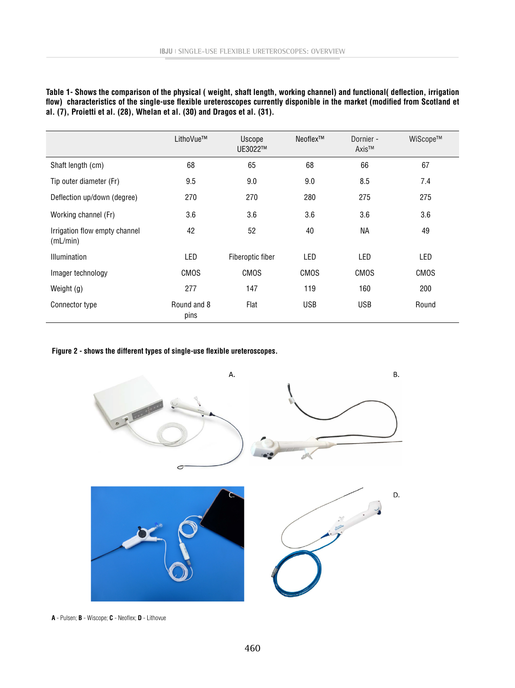|                                                                           | Table 1- Shows the comparison of the physical (weight, shaft length, working channel) and functional( deflection, irrigation |  |
|---------------------------------------------------------------------------|------------------------------------------------------------------------------------------------------------------------------|--|
|                                                                           | flow) characteristics of the single-use flexible ureteroscopes currently disponible in the market (modified from Scotland et |  |
| al. (7), Proietti et al. (28), Whelan et al. (30) and Dragos et al. (31). |                                                                                                                              |  |

|                                           | LithoVue™           | Uscope<br>UE3022™ | Neoflex™   | Dornier -<br>Axis™ | WiScope™ |
|-------------------------------------------|---------------------|-------------------|------------|--------------------|----------|
| Shaft length (cm)                         | 68                  | 65                | 68         | 66                 | 67       |
| Tip outer diameter (Fr)                   | 9.5                 | 9.0               | 9.0        | 8.5                | 7.4      |
| Deflection up/down (degree)               | 270                 | 270               | 280        | 275                | 275      |
| Working channel (Fr)                      | 3.6                 | 3.6               | 3.6        | 3.6                | 3.6      |
| Irrigation flow empty channel<br>(mL/min) | 42                  | 52                | 40         | NА                 | 49       |
| <b>Illumination</b>                       | LED                 | Fiberoptic fiber  | LED        | <b>LED</b>         | LED      |
| Imager technology                         | <b>CMOS</b>         | CMOS              | CMOS       | <b>CMOS</b>        | CMOS     |
| Weight (g)                                | 277                 | 147               | 119        | 160                | 200      |
| Connector type                            | Round and 8<br>pins | Flat              | <b>USB</b> | <b>USB</b>         | Round    |

# **Figure 2 - shows the different types of single-use flexible ureteroscopes.**



**A** - Pulsen; **B** - Wiscope; **C** - Neoflex; **D** - Lithovue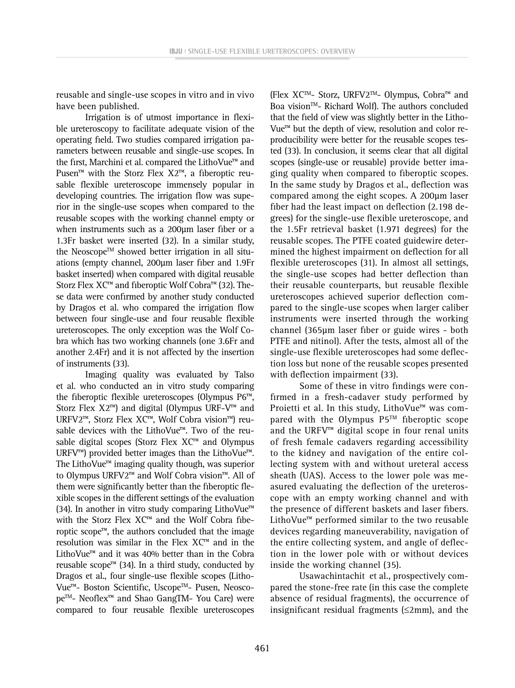reusable and single-use scopes in vitro and in vivo have been published.

Irrigation is of utmost importance in flexible ureteroscopy to facilitate adequate vision of the operating field. Two studies compared irrigation parameters between reusable and single-use scopes. In the first, Marchini et al. compared the LithoVue™ and Pusen™ with the Storz Flex X2™, a fiberoptic reusable flexible ureteroscope immensely popular in developing countries. The irrigation flow was superior in the single-use scopes when compared to the reusable scopes with the working channel empty or when instruments such as a 200µm laser fiber or a 1.3Fr basket were inserted (32). In a similar study, the Neoscope<sup>™</sup> showed better irrigation in all situations (empty channel, 200µm laser fiber and 1.9Fr basket inserted) when compared with digital reusable Storz Flex XC™ and fiberoptic Wolf Cobra™ (32). These data were confirmed by another study conducted by Dragos et al. who compared the irrigation flow between four single-use and four reusable flexible ureteroscopes. The only exception was the Wolf Cobra which has two working channels (one 3.6Fr and another 2.4Fr) and it is not affected by the insertion of instruments (33).

Imaging quality was evaluated by Talso et al. who conducted an in vitro study comparing the fiberoptic flexible ureteroscopes (Olympus P6™, Storz Flex X2™) and digital (Olympus URF-V™ and URFV2™, Storz Flex XC™, Wolf Cobra vision™) reusable devices with the LithoVue™. Two of the reusable digital scopes (Storz Flex XC™ and Olympus URFV™) provided better images than the LithoVue™. The LithoVue™ imaging quality though, was superior to Olympus URFV2™ and Wolf Cobra vision™. All of them were significantly better than the fiberoptic flexible scopes in the different settings of the evaluation (34). In another in vitro study comparing LithoVue™ with the Storz Flex XC™ and the Wolf Cobra fiberoptic scope™, the authors concluded that the image resolution was similar in the Flex XC™ and in the LithoVue™ and it was 40% better than in the Cobra reusable scope<sup>™</sup> (34). In a third study, conducted by Dragos et al., four single-use flexible scopes (Litho-Vue™- Boston Scientific, UscopeTM- Pusen, NeoscopeTM- Neoflex™ and Shao GangTM- You Care) were compared to four reusable flexible ureteroscopes

(Flex XCTM- Storz, URFV2TM- Olympus, Cobra™ and Boa vision<sup>™</sup>- Richard Wolf). The authors concluded that the field of view was slightly better in the Litho-Vue™ but the depth of view, resolution and color reproducibility were better for the reusable scopes tested (33). In conclusion, it seems clear that all digital scopes (single-use or reusable) provide better imaging quality when compared to fiberoptic scopes. In the same study by Dragos et al., deflection was compared among the eight scopes. A 200µm laser fiber had the least impact on deflection (2.198 degrees) for the single-use flexible ureteroscope, and the 1.5Fr retrieval basket (1.971 degrees) for the reusable scopes. The PTFE coated guidewire determined the highest impairment on deflection for all flexible ureteroscopes (31). In almost all settings, the single-use scopes had better deflection than their reusable counterparts, but reusable flexible ureteroscopes achieved superior deflection compared to the single-use scopes when larger caliber instruments were inserted through the working channel (365µm laser fiber or guide wires - both PTFE and nitinol). After the tests, almost all of the single-use flexible ureteroscopes had some deflection loss but none of the reusable scopes presented with deflection impairment (33).

Some of these in vitro findings were confirmed in a fresh-cadaver study performed by Proietti et al. In this study, LithoVue™ was compared with the Olympus  $P5^{TM}$  fiberoptic scope and the URFV™ digital scope in four renal units of fresh female cadavers regarding accessibility to the kidney and navigation of the entire collecting system with and without ureteral access sheath (UAS). Access to the lower pole was measured evaluating the deflection of the ureteroscope with an empty working channel and with the presence of different baskets and laser fibers. LithoVue™ performed similar to the two reusable devices regarding maneuverability, navigation of the entire collecting system, and angle of deflection in the lower pole with or without devices inside the working channel (35).

Usawachintachit et al., prospectively compared the stone-free rate (in this case the complete absence of residual fragments), the occurrence of insignificant residual fragments  $(\leq 2mm)$ , and the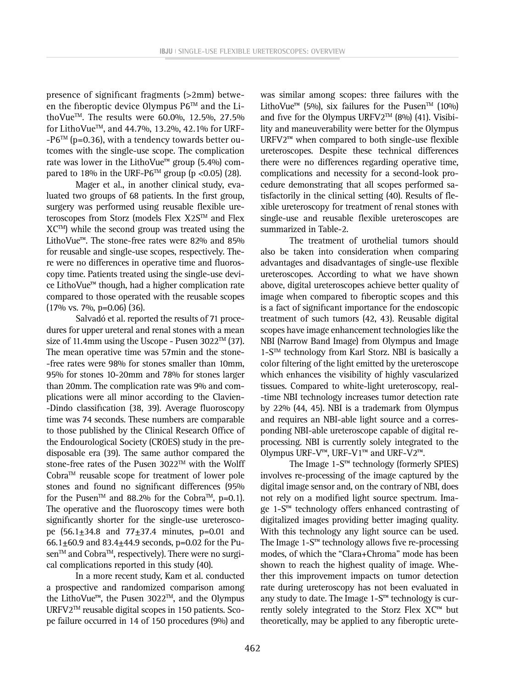presence of significant fragments (>2mm) between the fiberoptic device Olympus  $P6^{TM}$  and the LithoVue<sup>TM</sup>. The results were 60.0%, 12.5%, 27.5% for LithoVue<sup>™</sup>, and 44.7%, 13.2%, 42.1% for URF- $-P6^{TM}$  (p=0.36), with a tendency towards better outcomes with the single-use scope. The complication rate was lower in the LithoVue<sup>™</sup> group (5.4%) compared to 18% in the URF-P6<sup>TM</sup> group (p < 0.05) (28).

Mager et al., in another clinical study, evaluated two groups of 68 patients. In the first group, surgery was performed using reusable flexible ureteroscopes from Storz (models Flex X2S™ and Flex  $XC^{TM}$ ) while the second group was treated using the LithoVue™. The stone-free rates were 82% and 85% for reusable and single-use scopes, respectively. There were no differences in operative time and fluoroscopy time. Patients treated using the single-use device LithoVue™ though, had a higher complication rate compared to those operated with the reusable scopes (17% vs. 7%, p=0.06) (36).

Salvadó et al. reported the results of 71 procedures for upper ureteral and renal stones with a mean size of 11.4mm using the Uscope - Pusen  $3022^{TM}$  (37). The mean operative time was 57min and the stone- -free rates were 98% for stones smaller than 10mm, 95% for stones 10-20mm and 78% for stones larger than 20mm. The complication rate was 9% and complications were all minor according to the Clavien- -Dindo classification (38, 39). Average fluoroscopy time was 74 seconds. These numbers are comparable to those published by the Clinical Research Office of the Endourological Society (CROES) study in the predisposable era (39). The same author compared the stone-free rates of the Pusen 3022™ with the Wolff CobraTM reusable scope for treatment of lower pole stones and found no significant differences (95% for the Pusen<sup>TM</sup> and 88.2% for the Cobra<sup>TM</sup>, p=0.1). The operative and the fluoroscopy times were both significantly shorter for the single-use ureteroscope (56.1±34.8 and 77±37.4 minutes, p=0.01 and 66.1 $\pm$ 60.9 and 83.4 $\pm$ 44.9 seconds, p=0.02 for the Pusen™ and Cobra™, respectively). There were no surgical complications reported in this study (40).

In a more recent study, Kam et al. conducted a prospective and randomized comparison among the LithoVue™, the Pusen 3022TM, and the Olympus URFV2™ reusable digital scopes in 150 patients. Scope failure occurred in 14 of 150 procedures (9%) and was similar among scopes: three failures with the LithoVue<sup>™</sup> (5%), six failures for the Pusen<sup>™</sup> (10%) and five for the Olympus URFV2<sup>TM</sup> (8%) (41). Visibility and maneuverability were better for the Olympus URFV2™ when compared to both single-use flexible ureteroscopes. Despite these technical differences there were no differences regarding operative time, complications and necessity for a second-look procedure demonstrating that all scopes performed satisfactorily in the clinical setting (40). Results of flexible ureteroscopy for treatment of renal stones with single-use and reusable flexible ureteroscopes are summarized in Table-2.

The treatment of urothelial tumors should also be taken into consideration when comparing advantages and disadvantages of single-use flexible ureteroscopes. According to what we have shown above, digital ureteroscopes achieve better quality of image when compared to fiberoptic scopes and this is a fact of significant importance for the endoscopic treatment of such tumors (42, 43). Reusable digital scopes have image enhancement technologies like the NBI (Narrow Band Image) from Olympus and Image  $1-S^{TM}$  technology from Karl Storz. NBI is basically a color filtering of the light emitted by the ureteroscope which enhances the visibility of highly vascularized tissues. Compared to white-light ureteroscopy, real- -time NBI technology increases tumor detection rate by 22% (44, 45). NBI is a trademark from Olympus and requires an NBI-able light source and a corresponding NBI-able ureteroscope capable of digital reprocessing. NBI is currently solely integrated to the Olympus URF-V™, URF-V1™ and URF-V2™.

The Image 1-S™ technology (formerly SPIES) involves re-processing of the image captured by the digital image sensor and, on the contrary of NBI, does not rely on a modified light source spectrum. Image 1-S™ technology offers enhanced contrasting of digitalized images providing better imaging quality. With this technology any light source can be used. The Image 1-S™ technology allows five re-processing modes, of which the "Clara+Chroma" mode has been shown to reach the highest quality of image. Whether this improvement impacts on tumor detection rate during ureteroscopy has not been evaluated in any study to date. The Image 1-S™ technology is currently solely integrated to the Storz Flex XC™ but theoretically, may be applied to any fiberoptic urete-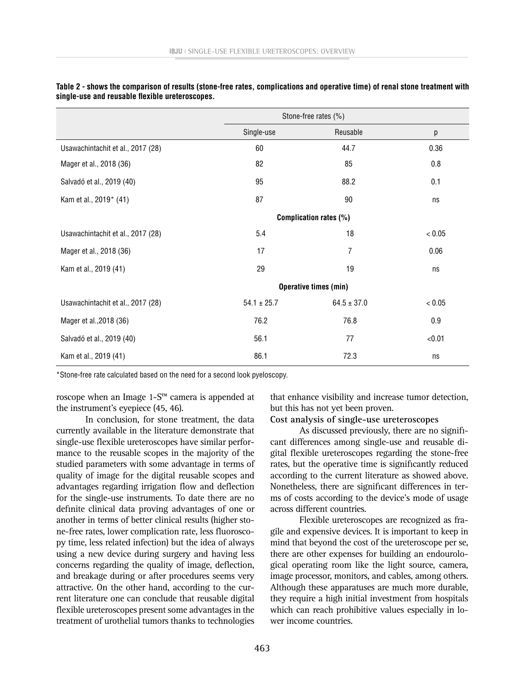|                                   | Stone-free rates (%)   |                 |        |  |
|-----------------------------------|------------------------|-----------------|--------|--|
|                                   | Single-use             | Reusable        | р      |  |
| Usawachintachit et al., 2017 (28) | 60                     | 44.7            | 0.36   |  |
| Mager et al., 2018 (36)           | 82                     | 85              | 0.8    |  |
| Salvadó et al., 2019 (40)         | 95                     | 88.2            | 0.1    |  |
| Kam et al., 2019* (41)            | 87                     | 90              | ns     |  |
|                                   | Complication rates (%) |                 |        |  |
| Usawachintachit et al., 2017 (28) | 5.4                    | 18              | < 0.05 |  |
| Mager et al., 2018 (36)           | 17                     | 7               | 0.06   |  |
| Kam et al., 2019 (41)             | 29                     | 19              | ns     |  |
|                                   | Operative times (min)  |                 |        |  |
| Usawachintachit et al., 2017 (28) | $54.1 \pm 25.7$        | $64.5 \pm 37.0$ | < 0.05 |  |
| Mager et al., 2018 (36)           | 76.2                   | 76.8            | 0.9    |  |
| Salvadó et al., 2019 (40)         | 56.1                   | 77              | < 0.01 |  |
| Kam et al., 2019 (41)             | 86.1                   | 72.3            | ns     |  |

**Table 2 - shows the comparison of results (stone-free rates, complications and operative time) of renal stone treatment with single-use and reusable flexible ureteroscopes.**

\*Stone-free rate calculated based on the need for a second look pyeloscopy.

roscope when an Image 1-S™ camera is appended at the instrument's eyepiece (45, 46).

In conclusion, for stone treatment, the data currently available in the literature demonstrate that single-use flexible ureteroscopes have similar performance to the reusable scopes in the majority of the studied parameters with some advantage in terms of quality of image for the digital reusable scopes and advantages regarding irrigation flow and deflection for the single-use instruments. To date there are no definite clinical data proving advantages of one or another in terms of better clinical results (higher stone-free rates, lower complication rate, less fluoroscopy time, less related infection) but the idea of always using a new device during surgery and having less concerns regarding the quality of image, deflection, and breakage during or after procedures seems very attractive. On the other hand, according to the current literature one can conclude that reusable digital flexible ureteroscopes present some advantages in the treatment of urothelial tumors thanks to technologies

that enhance visibility and increase tumor detection, but this has not yet been proven.

#### **Cost analysis of single-use ureteroscopes**

As discussed previously, there are no significant differences among single-use and reusable digital flexible ureteroscopes regarding the stone-free rates, but the operative time is significantly reduced according to the current literature as showed above. Nonetheless, there are significant differences in terms of costs according to the device's mode of usage across different countries.

Flexible ureteroscopes are recognized as fragile and expensive devices. It is important to keep in mind that beyond the cost of the ureteroscope per se, there are other expenses for building an endourological operating room like the light source, camera, image processor, monitors, and cables, among others. Although these apparatuses are much more durable, they require a high initial investment from hospitals which can reach prohibitive values especially in lower income countries.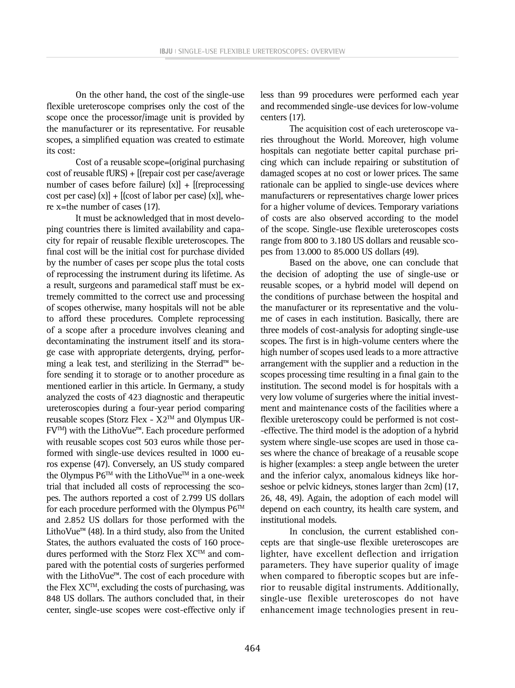On the other hand, the cost of the single-use flexible ureteroscope comprises only the cost of the scope once the processor/image unit is provided by the manufacturer or its representative. For reusable scopes, a simplified equation was created to estimate its cost:

Cost of a reusable scope=(original purchasing cost of reusable fURS) + [(repair cost per case/average number of cases before failure)  $(x)$ ] + [(reprocessing cost per case)  $(x]$  + [(cost of labor per case)  $(x]$ ], where x=the number of cases (17).

It must be acknowledged that in most developing countries there is limited availability and capacity for repair of reusable flexible ureteroscopes. The final cost will be the initial cost for purchase divided by the number of cases per scope plus the total costs of reprocessing the instrument during its lifetime. As a result, surgeons and paramedical staff must be extremely committed to the correct use and processing of scopes otherwise, many hospitals will not be able to afford these procedures. Complete reprocessing of a scope after a procedure involves cleaning and decontaminating the instrument itself and its storage case with appropriate detergents, drying, performing a leak test, and sterilizing in the Sterrad™ before sending it to storage or to another procedure as mentioned earlier in this article. In Germany, a study analyzed the costs of 423 diagnostic and therapeutic ureteroscopies during a four-year period comparing reusable scopes (Storz Flex -  $X2^{TM}$  and Olympus UR-FVTM) with the LithoVue™. Each procedure performed with reusable scopes cost 503 euros while those performed with single-use devices resulted in 1000 euros expense (47). Conversely, an US study compared the Olympus  $P6^{TM}$  with the LithoVue<sup> $TM$ </sup> in a one-week trial that included all costs of reprocessing the scopes. The authors reported a cost of 2.799 US dollars for each procedure performed with the Olympus  $P6^{TM}$ and 2.852 US dollars for those performed with the LithoVue™ (48). In a third study, also from the United States, the authors evaluated the costs of 160 procedures performed with the Storz Flex  $XC^{TM}$  and compared with the potential costs of surgeries performed with the LithoVue™. The cost of each procedure with the Flex  $XC^{TM}$ , excluding the costs of purchasing, was 848 US dollars. The authors concluded that, in their center, single-use scopes were cost-effective only if less than 99 procedures were performed each year and recommended single-use devices for low-volume centers (17).

The acquisition cost of each ureteroscope varies throughout the World. Moreover, high volume hospitals can negotiate better capital purchase pricing which can include repairing or substitution of damaged scopes at no cost or lower prices. The same rationale can be applied to single-use devices where manufacturers or representatives charge lower prices for a higher volume of devices. Temporary variations of costs are also observed according to the model of the scope. Single-use flexible ureteroscopes costs range from 800 to 3.180 US dollars and reusable scopes from 13.000 to 85.000 US dollars (49).

Based on the above, one can conclude that the decision of adopting the use of single-use or reusable scopes, or a hybrid model will depend on the conditions of purchase between the hospital and the manufacturer or its representative and the volume of cases in each institution. Basically, there are three models of cost-analysis for adopting single-use scopes. The first is in high-volume centers where the high number of scopes used leads to a more attractive arrangement with the supplier and a reduction in the scopes processing time resulting in a final gain to the institution. The second model is for hospitals with a very low volume of surgeries where the initial investment and maintenance costs of the facilities where a flexible ureteroscopy could be performed is not cost- -effective. The third model is the adoption of a hybrid system where single-use scopes are used in those cases where the chance of breakage of a reusable scope is higher (examples: a steep angle between the ureter and the inferior calyx, anomalous kidneys like horseshoe or pelvic kidneys, stones larger than 2cm) (17, 26, 48, 49). Again, the adoption of each model will depend on each country, its health care system, and institutional models.

In conclusion, the current established concepts are that single-use flexible ureteroscopes are lighter, have excellent deflection and irrigation parameters. They have superior quality of image when compared to fiberoptic scopes but are inferior to reusable digital instruments. Additionally, single-use flexible ureteroscopes do not have enhancement image technologies present in reu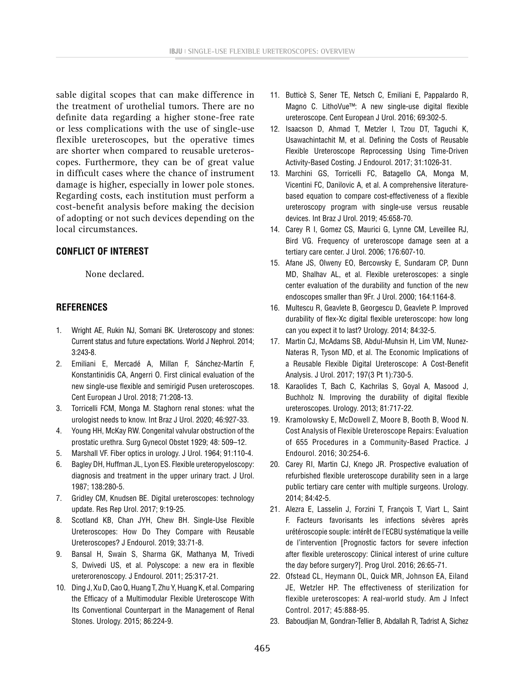sable digital scopes that can make difference in the treatment of urothelial tumors. There are no definite data regarding a higher stone-free rate or less complications with the use of single-use flexible ureteroscopes, but the operative times are shorter when compared to reusable ureteroscopes. Furthermore, they can be of great value in difficult cases where the chance of instrument damage is higher, especially in lower pole stones. Regarding costs, each institution must perform a cost-benefit analysis before making the decision of adopting or not such devices depending on the local circumstances.

# **CONFLICT OF INTEREST**

None declared.

# **REFERENCES**

- 1. Wright AE, Rukin NJ, Somani BK. Ureteroscopy and stones: Current status and future expectations. World J Nephrol. 2014; 3:243-8.
- 2. Emiliani E, Mercadé A, Millan F, Sánchez-Martín F, Konstantinidis CA, Angerri O. First clinical evaluation of the new single-use flexible and semirigid Pusen ureteroscopes. Cent European J Urol. 2018; 71:208-13.
- 3. Torricelli FCM, Monga M. Staghorn renal stones: what the urologist needs to know. Int Braz J Urol. 2020; 46:927-33.
- 4. Young HH, McKay RW. Congenital valvular obstruction of the prostatic urethra. Surg Gynecol Obstet 1929; 48: 509–12.
- 5. Marshall VF. Fiber optics in urology. J Urol. 1964; 91:110-4.
- 6. Bagley DH, Huffman JL, Lyon ES. Flexible ureteropyeloscopy: diagnosis and treatment in the upper urinary tract. J Urol. 1987; 138:280-5.
- 7. Gridley CM, Knudsen BE. Digital ureteroscopes: technology update. Res Rep Urol. 2017; 9:19-25.
- 8. Scotland KB, Chan JYH, Chew BH. Single-Use Flexible Ureteroscopes: How Do They Compare with Reusable Ureteroscopes? J Endourol. 2019; 33:71-8.
- 9. Bansal H, Swain S, Sharma GK, Mathanya M, Trivedi S, Dwivedi US, et al. Polyscope: a new era in flexible ureterorenoscopy. J Endourol. 2011; 25:317-21.
- 10. Ding J, Xu D, Cao Q, Huang T, Zhu Y, Huang K, et al. Comparing the Efficacy of a Multimodular Flexible Ureteroscope With Its Conventional Counterpart in the Management of Renal Stones. Urology. 2015; 86:224-9.
- 11. Butticè S, Sener TE, Netsch C, Emiliani E, Pappalardo R, Magno C. LithoVue™: A new single-use digital flexible ureteroscope. Cent European J Urol. 2016; 69:302-5.
- 12. Isaacson D, Ahmad T, Metzler I, Tzou DT, Taguchi K, Usawachintachit M, et al. Defining the Costs of Reusable Flexible Ureteroscope Reprocessing Using Time-Driven Activity-Based Costing. J Endourol. 2017; 31:1026-31.
- 13. Marchini GS, Torricelli FC, Batagello CA, Monga M, Vicentini FC, Danilovic A, et al. A comprehensive literaturebased equation to compare cost-effectiveness of a flexible ureteroscopy program with single-use versus reusable devices. Int Braz J Urol. 2019; 45:658-70.
- 14. Carey R I, Gomez CS, Maurici G, Lynne CM, Leveillee RJ, Bird VG. Frequency of ureteroscope damage seen at a tertiary care center. J Urol. 2006; 176:607-10.
- 15. Afane JS, Olweny EO, Bercowsky E, Sundaram CP, Dunn MD, Shalhav AL, et al. Flexible ureteroscopes: a single center evaluation of the durability and function of the new endoscopes smaller than 9Fr. J Urol. 2000; 164:1164-8.
- 16. Multescu R, Geavlete B, Georgescu D, Geavlete P. Improved durability of flex-Xc digital flexible ureteroscope: how long can you expect it to last? Urology. 2014; 84:32-5.
- 17. Martin CJ, McAdams SB, Abdul-Muhsin H, Lim VM, Nunez-Nateras R, Tyson MD, et al. The Economic Implications of a Reusable Flexible Digital Ureteroscope: A Cost-Benefit Analysis. J Urol. 2017; 197(3 Pt 1):730-5.
- 18. Karaolides T, Bach C, Kachrilas S, Goyal A, Masood J, Buchholz N. Improving the durability of digital flexible ureteroscopes. Urology. 2013; 81:717-22.
- 19. Kramolowsky E, McDowell Z, Moore B, Booth B, Wood N. Cost Analysis of Flexible Ureteroscope Repairs: Evaluation of 655 Procedures in a Community-Based Practice. J Endourol. 2016; 30:254-6.
- 20. Carey RI, Martin CJ, Knego JR. Prospective evaluation of refurbished flexible ureteroscope durability seen in a large public tertiary care center with multiple surgeons. Urology. 2014; 84:42-5.
- 21. Alezra E, Lasselin J, Forzini T, François T, Viart L, Saint F. Facteurs favorisants les infections sévères après urétéroscopie souple: intérêt de l'ECBU systématique la veille de l'intervention [Prognostic factors for severe infection after flexible ureteroscopy: Clinical interest of urine culture the day before surgery?]. Prog Urol. 2016; 26:65-71.
- 22. Ofstead CL, Heymann OL, Quick MR, Johnson EA, Eiland JE, Wetzler HP. The effectiveness of sterilization for flexible ureteroscopes: A real-world study. Am J Infect Control. 2017; 45:888-95.
- 23. Baboudjian M, Gondran-Tellier B, Abdallah R, Tadrist A, Sichez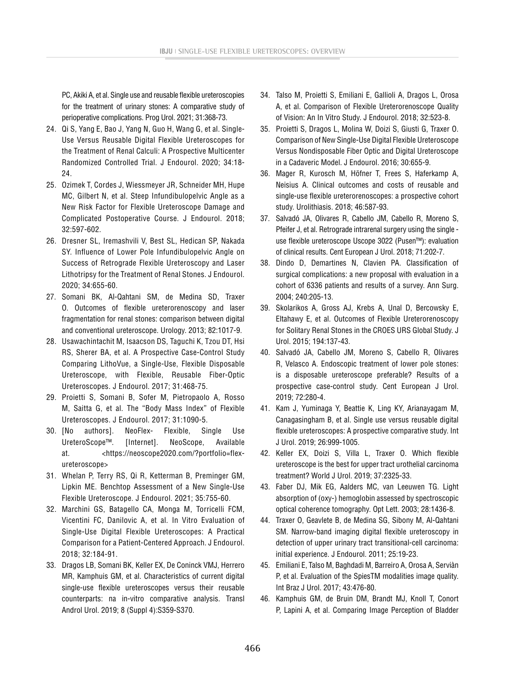PC, Akiki A, et al. Single use and reusable flexible ureteroscopies for the treatment of urinary stones: A comparative study of perioperative complications. Prog Urol. 2021; 31:368-73.

- 24. Qi S, Yang E, Bao J, Yang N, Guo H, Wang G, et al. Single-Use Versus Reusable Digital Flexible Ureteroscopes for the Treatment of Renal Calculi: A Prospective Multicenter Randomized Controlled Trial. J Endourol. 2020; 34:18- 24.
- 25. Ozimek T, Cordes J, Wiessmeyer JR, Schneider MH, Hupe MC, Gilbert N, et al. Steep Infundibulopelvic Angle as a New Risk Factor for Flexible Ureteroscope Damage and Complicated Postoperative Course. J Endourol. 2018; 32:597-602.
- 26. Dresner SL, Iremashvili V, Best SL, Hedican SP, Nakada SY. Influence of Lower Pole Infundibulopelvic Angle on Success of Retrograde Flexible Ureteroscopy and Laser Lithotripsy for the Treatment of Renal Stones. J Endourol. 2020; 34:655-60.
- 27. Somani BK, Al-Qahtani SM, de Medina SD, Traxer O. Outcomes of flexible ureterorenoscopy and laser fragmentation for renal stones: comparison between digital and conventional ureteroscope. Urology. 2013; 82:1017-9.
- 28. Usawachintachit M, Isaacson DS, Taguchi K, Tzou DT, Hsi RS, Sherer BA, et al. A Prospective Case-Control Study Comparing LithoVue, a Single-Use, Flexible Disposable Ureteroscope, with Flexible, Reusable Fiber-Optic Ureteroscopes. J Endourol. 2017; 31:468-75.
- 29. Proietti S, Somani B, Sofer M, Pietropaolo A, Rosso M, Saitta G, et al. The "Body Mass Index" of Flexible Ureteroscopes. J Endourol. 2017; 31:1090-5.
- 30. [No authors]. NeoFlex- Flexible, Single Use UreteroScope™. [Internet]. NeoScope, Available at. <[https://neoscope2020.com/?portfolio=flex](https://neoscope2020.com/?portfolio=flex-ureteroscope)[ureteroscope](https://neoscope2020.com/?portfolio=flex-ureteroscope)>
- 31. Whelan P, Terry RS, Qi R, Ketterman B, Preminger GM, Lipkin ME. Benchtop Assessment of a New Single-Use Flexible Ureteroscope. J Endourol. 2021; 35:755-60.
- 32. Marchini GS, Batagello CA, Monga M, Torricelli FCM, Vicentini FC, Danilovic A, et al. In Vitro Evaluation of Single-Use Digital Flexible Ureteroscopes: A Practical Comparison for a Patient-Centered Approach. J Endourol. 2018; 32:184-91.
- 33. Dragos LB, Somani BK, Keller EX, De Coninck VMJ, Herrero MR, Kamphuis GM, et al. Characteristics of current digital single-use flexible ureteroscopes versus their reusable counterparts: na in-vitro comparative analysis. Transl Androl Urol. 2019; 8 (Suppl 4):S359-S370.
- 34. Talso M, Proietti S, Emiliani E, Gallioli A, Dragos L, Orosa A, et al. Comparison of Flexible Ureterorenoscope Quality of Vision: An In Vitro Study. J Endourol. 2018; 32:523-8.
- 35. Proietti S, Dragos L, Molina W, Doizi S, Giusti G, Traxer O. Comparison of New Single-Use Digital Flexible Ureteroscope Versus Nondisposable Fiber Optic and Digital Ureteroscope in a Cadaveric Model. J Endourol. 2016; 30:655-9.
- 36. Mager R, Kurosch M, Höfner T, Frees S, Haferkamp A, Neisius A. Clinical outcomes and costs of reusable and single-use flexible ureterorenoscopes: a prospective cohort study. Urolithiasis. 2018; 46:587-93.
- 37. Salvadó JA, Olivares R, Cabello JM, Cabello R, Moreno S, Pfeifer J, et al. Retrograde intrarenal surgery using the single use flexible ureteroscope Uscope 3022 (Pusen™): evaluation of clinical results. Cent European J Urol. 2018; 71:202-7.
- 38. Dindo D, Demartines N, Clavien PA. Classification of surgical complications: a new proposal with evaluation in a cohort of 6336 patients and results of a survey. Ann Surg. 2004; 240:205-13.
- 39. Skolarikos A, Gross AJ, Krebs A, Unal D, Bercowsky E, Eltahawy E, et al. Outcomes of Flexible Ureterorenoscopy for Solitary Renal Stones in the CROES URS Global Study. J Urol. 2015; 194:137-43.
- 40. Salvadó JA, Cabello JM, Moreno S, Cabello R, Olivares R, Velasco A. Endoscopic treatment of lower pole stones: is a disposable ureteroscope preferable? Results of a prospective case-control study. Cent European J Urol. 2019; 72:280-4.
- 41. Kam J, Yuminaga Y, Beattie K, Ling KY, Arianayagam M, Canagasingham B, et al. Single use versus reusable digital flexible ureteroscopes: A prospective comparative study. Int J Urol. 2019; 26:999-1005.
- 42. Keller EX, Doizi S, Villa L, Traxer O. Which flexible ureteroscope is the best for upper tract urothelial carcinoma treatment? World J Urol. 2019; 37:2325-33.
- 43. Faber DJ, Mik EG, Aalders MC, van Leeuwen TG. Light absorption of (oxy-) hemoglobin assessed by spectroscopic optical coherence tomography. Opt Lett. 2003; 28:1436-8.
- 44. Traxer O, Geavlete B, de Medina SG, Sibony M, Al-Qahtani SM. Narrow-band imaging digital flexible ureteroscopy in detection of upper urinary tract transitional-cell carcinoma: initial experience. J Endourol. 2011; 25:19-23.
- 45. Emiliani E, Talso M, Baghdadi M, Barreiro A, Orosa A, Serviàn P, et al. Evaluation of the SpiesTM modalities image quality. Int Braz J Urol. 2017; 43:476-80.
- 46. Kamphuis GM, de Bruin DM, Brandt MJ, Knoll T, Conort P, Lapini A, et al. Comparing Image Perception of Bladder